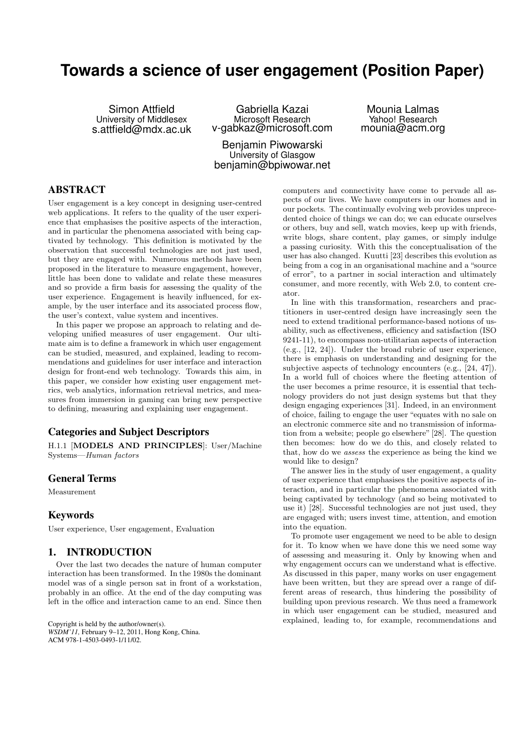# **Towards a science of user engagement (Position Paper)**

Simon Attfield University of Middlesex s.attfield@mdx.ac.uk

Gabriella Kazai Microsoft Research v-gabkaz@microsoft.com

Mounia Lalmas Yahoo! Research mounia@acm.org

Benjamin Piwowarski University of Glasgow benjamin@bpiwowar.net

## ABSTRACT

User engagement is a key concept in designing user-centred web applications. It refers to the quality of the user experience that emphasises the positive aspects of the interaction, and in particular the phenomena associated with being captivated by technology. This definition is motivated by the observation that successful technologies are not just used, but they are engaged with. Numerous methods have been proposed in the literature to measure engagement, however, little has been done to validate and relate these measures and so provide a firm basis for assessing the quality of the user experience. Engagement is heavily influenced, for example, by the user interface and its associated process flow, the user's context, value system and incentives.

In this paper we propose an approach to relating and developing unified measures of user engagement. Our ultimate aim is to define a framework in which user engagement can be studied, measured, and explained, leading to recommendations and guidelines for user interface and interaction design for front-end web technology. Towards this aim, in this paper, we consider how existing user engagement metrics, web analytics, information retrieval metrics, and measures from immersion in gaming can bring new perspective to defining, measuring and explaining user engagement.

## Categories and Subject Descriptors

H.1.1 [MODELS AND PRINCIPLES]: User/Machine Systems—*Human factors*

## General Terms

Measurement

#### Keywords

User experience, User engagement, Evaluation

# 1. INTRODUCTION

Over the last two decades the nature of human computer interaction has been transformed. In the 1980s the dominant model was of a single person sat in front of a workstation, probably in an office. At the end of the day computing was left in the office and interaction came to an end. Since then

Copyright is held by the author/owner(s). *WSDM'11,* February 9–12, 2011, Hong Kong, China. ACM 978-1-4503-0493-1/11/02.

computers and connectivity have come to pervade all aspects of our lives. We have computers in our homes and in our pockets. The continually evolving web provides unprecedented choice of things we can do; we can educate ourselves or others, buy and sell, watch movies, keep up with friends, write blogs, share content, play games, or simply indulge a passing curiosity. With this the conceptualisation of the user has also changed. Kuutti [23] describes this evolution as being from a cog in an organisational machine and a "source of error", to a partner in social interaction and ultimately consumer, and more recently, with Web 2.0, to content creator.

In line with this transformation, researchers and practitioners in user-centred design have increasingly seen the need to extend traditional performance-based notions of usability, such as effectiveness, efficiency and satisfaction (ISO 9241-11), to encompass non-utilitarian aspects of interaction (e.g., [12, 24]). Under the broad rubric of user experience, there is emphasis on understanding and designing for the subjective aspects of technology encounters (e.g., [24, 47]). In a world full of choices where the fleeting attention of the user becomes a prime resource, it is essential that technology providers do not just design systems but that they design engaging experiences [31]. Indeed, in an environment of choice, failing to engage the user "equates with no sale on an electronic commerce site and no transmission of information from a website; people go elsewhere" [28]. The question then becomes: how do we do this, and closely related to that, how do we *assess* the experience as being the kind we would like to design?

The answer lies in the study of user engagement, a quality of user experience that emphasises the positive aspects of interaction, and in particular the phenomena associated with being captivated by technology (and so being motivated to use it) [28]. Successful technologies are not just used, they are engaged with; users invest time, attention, and emotion into the equation.

To promote user engagement we need to be able to design for it. To know when we have done this we need some way of assessing and measuring it. Only by knowing when and why engagement occurs can we understand what is effective. As discussed in this paper, many works on user engagement have been written, but they are spread over a range of different areas of research, thus hindering the possibility of building upon previous research. We thus need a framework in which user engagement can be studied, measured and explained, leading to, for example, recommendations and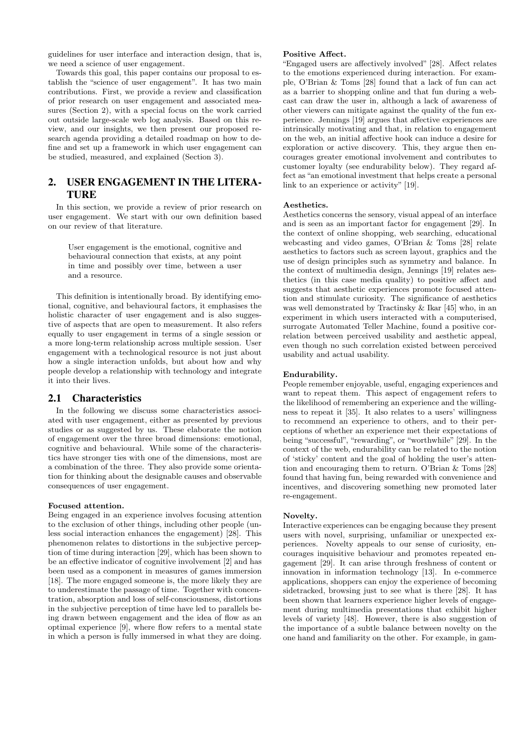guidelines for user interface and interaction design, that is, we need a science of user engagement.

Towards this goal, this paper contains our proposal to establish the "science of user engagement". It has two main contributions. First, we provide a review and classification of prior research on user engagement and associated measures (Section 2), with a special focus on the work carried out outside large-scale web log analysis. Based on this review, and our insights, we then present our proposed research agenda providing a detailed roadmap on how to define and set up a framework in which user engagement can be studied, measured, and explained (Section 3).

# 2. USER ENGAGEMENT IN THE LITERA-TURE

In this section, we provide a review of prior research on user engagement. We start with our own definition based on our review of that literature.

User engagement is the emotional, cognitive and behavioural connection that exists, at any point in time and possibly over time, between a user and a resource.

This definition is intentionally broad. By identifying emotional, cognitive, and behavioural factors, it emphasises the holistic character of user engagement and is also suggestive of aspects that are open to measurement. It also refers equally to user engagement in terms of a single session or a more long-term relationship across multiple session. User engagement with a technological resource is not just about how a single interaction unfolds, but about how and why people develop a relationship with technology and integrate it into their lives.

## 2.1 Characteristics

In the following we discuss some characteristics associated with user engagement, either as presented by previous studies or as suggested by us. These elaborate the notion of engagement over the three broad dimensions: emotional, cognitive and behavioural. While some of the characteristics have stronger ties with one of the dimensions, most are a combination of the three. They also provide some orientation for thinking about the designable causes and observable consequences of user engagement.

## Focused attention.

Being engaged in an experience involves focusing attention to the exclusion of other things, including other people (unless social interaction enhances the engagement) [28]. This phenomenon relates to distortions in the subjective perception of time during interaction [29], which has been shown to be an effective indicator of cognitive involvement [2] and has been used as a component in measures of games immersion [18]. The more engaged someone is, the more likely they are to underestimate the passage of time. Together with concentration, absorption and loss of self-consciousness, distortions in the subjective perception of time have led to parallels being drawn between engagement and the idea of flow as an optimal experience [9], where flow refers to a mental state in which a person is fully immersed in what they are doing.

### Positive Affect.

"Engaged users are affectively involved" [28]. Affect relates to the emotions experienced during interaction. For example, O'Brian & Toms [28] found that a lack of fun can act as a barrier to shopping online and that fun during a webcast can draw the user in, although a lack of awareness of other viewers can mitigate against the quality of the fun experience. Jennings [19] argues that affective experiences are intrinsically motivating and that, in relation to engagement on the web, an initial affective hook can induce a desire for exploration or active discovery. This, they argue then encourages greater emotional involvement and contributes to customer loyalty (see endurability below). They regard affect as "an emotional investment that helps create a personal link to an experience or activity" [19].

## Aesthetics.

Aesthetics concerns the sensory, visual appeal of an interface and is seen as an important factor for engagement [29]. In the context of online shopping, web searching, educational webcasting and video games, O'Brian & Toms [28] relate aesthetics to factors such as screen layout, graphics and the use of design principles such as symmetry and balance. In the context of multimedia design, Jennings [19] relates aesthetics (in this case media quality) to positive affect and suggests that aesthetic experiences promote focused attention and stimulate curiosity. The significance of aesthetics was well demonstrated by Tractinsky & Ikar [45] who, in an experiment in which users interacted with a computerised, surrogate Automated Teller Machine, found a positive correlation between perceived usability and aesthetic appeal, even though no such correlation existed between perceived usability and actual usability.

## Endurability.

People remember enjoyable, useful, engaging experiences and want to repeat them. This aspect of engagement refers to the likelihood of remembering an experience and the willingness to repeat it [35]. It also relates to a users' willingness to recommend an experience to others, and to their perceptions of whether an experience met their expectations of being "successful", "rewarding", or "worthwhile" [29]. In the context of the web, endurability can be related to the notion of 'sticky' content and the goal of holding the user's attention and encouraging them to return. O'Brian & Toms [28] found that having fun, being rewarded with convenience and incentives, and discovering something new promoted later re-engagement.

#### Novelty.

Interactive experiences can be engaging because they present users with novel, surprising, unfamiliar or unexpected experiences. Novelty appeals to our sense of curiosity, encourages inquisitive behaviour and promotes repeated engagement [29]. It can arise through freshness of content or innovation in information technology [13]. In e-commerce applications, shoppers can enjoy the experience of becoming sidetracked, browsing just to see what is there [28]. It has been shown that learners experience higher levels of engagement during multimedia presentations that exhibit higher levels of variety [48]. However, there is also suggestion of the importance of a subtle balance between novelty on the one hand and familiarity on the other. For example, in gam-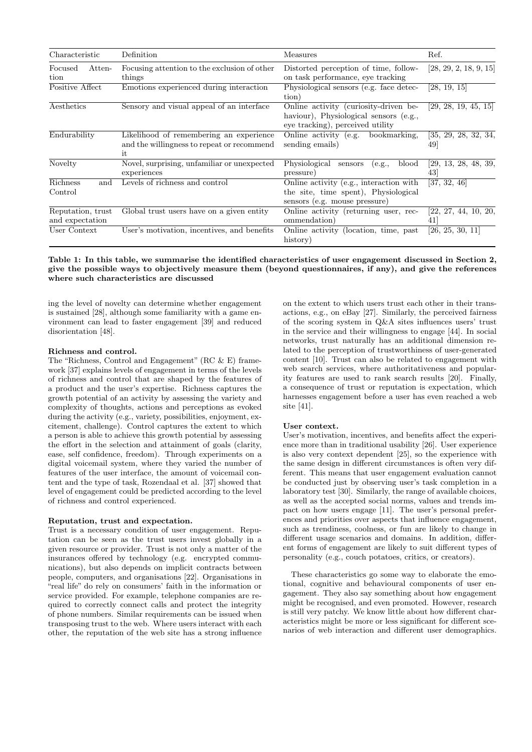| Characteristic                       | Definition                                                                                  | Measures                                                                                                            | Ref.                       |
|--------------------------------------|---------------------------------------------------------------------------------------------|---------------------------------------------------------------------------------------------------------------------|----------------------------|
| Atten-<br>Focused<br>tion            | Focusing attention to the exclusion of other<br>things                                      | Distorted perception of time, follow-<br>on task performance, eye tracking                                          | [28, 29, 2, 18, 9, 15]     |
| Positive Affect                      | Emotions experienced during interaction                                                     | Physiological sensors (e.g. face detec-<br>tion)                                                                    | [28, 19, 15]               |
| Aesthetics                           | Sensory and visual appeal of an interface                                                   | Online activity (curiosity-driven be-<br>haviour), Physiological sensors (e.g.,<br>eye tracking), perceived utility | [29, 28, 19, 45, 15]       |
| Endurability                         | Likelihood of remembering an experience<br>and the willingness to repeat or recommend<br>it | bookmarking.<br>$\overline{\text{Online}}$ activity (e.g.<br>sending emails)                                        | [35, 29, 28, 32, 34,<br>49 |
| Novelty                              | Novel, surprising, unfamiliar or unexpected<br>experiences                                  | Physiological<br>blood<br>sensors<br>(e.g.,<br>pressure)                                                            | [29, 13, 28, 48, 39,<br>43 |
| Richness<br>and<br>Control           | Levels of richness and control                                                              | Online activity (e.g., interaction with<br>the site, time spent), Physiological<br>sensors (e.g. mouse pressure)    | [37, 32, 46]               |
| Reputation, trust<br>and expectation | Global trust users have on a given entity                                                   | Online activity (returning user, rec-<br>ommendation)                                                               | [22, 27, 44, 10, 20,<br>41 |
| User Context                         | User's motivation, incentives, and benefits                                                 | Online activity (location, time, past<br>history)                                                                   | [26, 25, 30, 11]           |

## Table 1: In this table, we summarise the identified characteristics of user engagement discussed in Section 2, give the possible ways to objectively measure them (beyond questionnaires, if any), and give the references where such characteristics are discussed

ing the level of novelty can determine whether engagement is sustained [28], although some familiarity with a game environment can lead to faster engagement [39] and reduced disorientation [48].

#### Richness and control.

The "Richness, Control and Engagement" (RC & E) framework [37] explains levels of engagement in terms of the levels of richness and control that are shaped by the features of a product and the user's expertise. Richness captures the growth potential of an activity by assessing the variety and complexity of thoughts, actions and perceptions as evoked during the activity (e.g., variety, possibilities, enjoyment, excitement, challenge). Control captures the extent to which a person is able to achieve this growth potential by assessing the effort in the selection and attainment of goals (clarity, ease, self confidence, freedom). Through experiments on a digital voicemail system, where they varied the number of features of the user interface, the amount of voicemail content and the type of task, Rozendaal et al. [37] showed that level of engagement could be predicted according to the level of richness and control experienced.

#### Reputation, trust and expectation.

Trust is a necessary condition of user engagement. Reputation can be seen as the trust users invest globally in a given resource or provider. Trust is not only a matter of the insurances offered by technology (e.g. encrypted communications), but also depends on implicit contracts between people, computers, and organisations [22]. Organisations in "real life" do rely on consumers' faith in the information or service provided. For example, telephone companies are required to correctly connect calls and protect the integrity of phone numbers. Similar requirements can be issued when transposing trust to the web. Where users interact with each other, the reputation of the web site has a strong influence

on the extent to which users trust each other in their transactions, e.g., on eBay [27]. Similarly, the perceived fairness of the scoring system in Q&A sites influences users' trust in the service and their willingness to engage [44]. In social networks, trust naturally has an additional dimension related to the perception of trustworthiness of user-generated content [10]. Trust can also be related to engagement with web search services, where authoritativeness and popularity features are used to rank search results [20]. Finally, a consequence of trust or reputation is expectation, which harnesses engagement before a user has even reached a web site [41].

#### User context.

User's motivation, incentives, and benefits affect the experience more than in traditional usability [26]. User experience is also very context dependent [25], so the experience with the same design in different circumstances is often very different. This means that user engagement evaluation cannot be conducted just by observing user's task completion in a laboratory test [30]. Similarly, the range of available choices, as well as the accepted social norms, values and trends impact on how users engage [11]. The user's personal preferences and priorities over aspects that influence engagement, such as trendiness, coolness, or fun are likely to change in different usage scenarios and domains. In addition, different forms of engagement are likely to suit different types of personality (e.g., couch potatoes, critics, or creators).

These characteristics go some way to elaborate the emotional, cognitive and behavioural components of user engagement. They also say something about how engagement might be recognised, and even promoted. However, research is still very patchy. We know little about how different characteristics might be more or less significant for different scenarios of web interaction and different user demographics.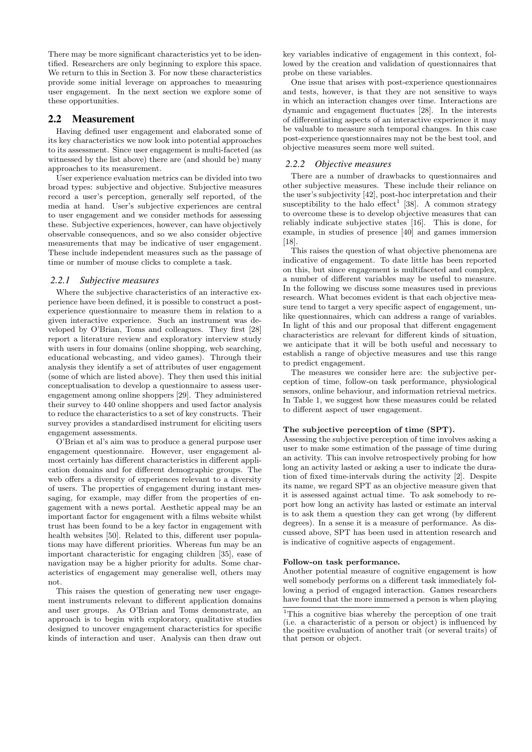There may be more significant characteristics yet to be identified. Researchers are only beginning to explore this space. We return to this in Section 3. For now these characteristics provide some initial leverage on approaches to measuring user engagement. In the next section we explore some of these opportunities.

## 2.2 Measurement

Having defined user engagement and elaborated some of its key characteristics we now look into potential approaches to its assessment. Since user engagement is multi-faceted (as witnessed by the list above) there are (and should be) many approaches to its measurement.

User experience evaluation metrics can be divided into two broad types: subjective and objective. Subjective measures record a user's perception, generally self reported, of the media at hand. User's subjective experiences are central to user engagement and we consider methods for assessing these. Subjective experiences, however, can have objectively observable consequences, and so we also consider objective measurements that may be indicative of user engagement. These include independent measures such as the passage of time or number of mouse clicks to complete a task.

## *2.2.1 Subjective measures*

Where the subjective characteristics of an interactive experience have been defined, it is possible to construct a postexperience questionnaire to measure them in relation to a given interactive experience. Such an instrument was developed by O'Brian, Toms and colleagues. They first [28] report a literature review and exploratory interview study with users in four domains (online shopping, web searching, educational webcasting, and video games). Through their analysis they identify a set of attributes of user engagement (some of which are listed above). They then used this initial conceptualisation to develop a questionnaire to assess userengagement among online shoppers [29]. They administered their survey to 440 online shoppers and used factor analysis to reduce the characteristics to a set of key constructs. Their survey provides a standardised instrument for eliciting users engagement assessments.

O'Brian et al's aim was to produce a general purpose user engagement questionnaire. However, user engagement almost certainly has different characteristics in different application domains and for different demographic groups. The web offers a diversity of experiences relevant to a diversity of users. The properties of engagement during instant messaging, for example, may differ from the properties of engagement with a news portal. Aesthetic appeal may be an important factor for engagement with a films website whilst trust has been found to be a key factor in engagement with health websites [50]. Related to this, different user populations may have different priorities. Whereas fun may be an important characteristic for engaging children [35], ease of navigation may be a higher priority for adults. Some characteristics of engagement may generalise well, others may not.

This raises the question of generating new user engagement instruments relevant to different application domains and user groups. As O'Brian and Toms demonstrate, an approach is to begin with exploratory, qualitative studies designed to uncover engagement characteristics for specific kinds of interaction and user. Analysis can then draw out

key variables indicative of engagement in this context, followed by the creation and validation of questionnaires that probe on these variables.

One issue that arises with post-experience questionnaires and tests, however, is that they are not sensitive to ways in which an interaction changes over time. Interactions are dynamic and engagement fluctuates [28]. In the interests of differentiating aspects of an interactive experience it may be valuable to measure such temporal changes. In this case post-experience questionnaires may not be the best tool, and objective measures seem more well suited.

## *2.2.2 Objective measures*

There are a number of drawbacks to questionnaires and other subjective measures. These include their reliance on the user's subjectivity [42], post-hoc interpretation and their susceptibility to the halo effect<sup>1</sup> [38]. A common strategy to overcome these is to develop objective measures that can reliably indicate subjective states [16]. This is done, for example, in studies of presence [40] and games immersion [18].

This raises the question of what objective phenomena are indicative of engagement. To date little has been reported on this, but since engagement is multifaceted and complex, a number of different variables may be useful to measure. In the following we discuss some measures used in previous research. What becomes evident is that each objective measure tend to target a very specific aspect of engagement, unlike questionnaires, which can address a range of variables. In light of this and our proposal that different engagement characteristics are relevant for different kinds of situation, we anticipate that it will be both useful and necessary to establish a range of objective measures and use this range to predict engagement.

The measures we consider here are: the subjective perception of time, follow-on task performance, physiological sensors, online behaviour, and information retrieval metrics. In Table 1, we suggest how these measures could be related to different aspect of user engagement.

#### The subjective perception of time (SPT).

Assessing the subjective perception of time involves asking a user to make some estimation of the passage of time during an activity. This can involve retrospectively probing for how long an activity lasted or asking a user to indicate the duration of fixed time-intervals during the activity [2]. Despite its name, we regard SPT as an objective measure given that it is assessed against actual time. To ask somebody to report how long an activity has lasted or estimate an interval is to ask them a question they can get wrong (by different degrees). In a sense it is a measure of performance. As discussed above, SPT has been used in attention research and is indicative of cognitive aspects of engagement.

#### Follow-on task performance.

Another potential measure of cognitive engagement is how well somebody performs on a different task immediately following a period of engaged interaction. Games researchers have found that the more immersed a person is when playing

<sup>&</sup>lt;sup>1</sup>This a cognitive bias whereby the perception of one trait (i.e. a characteristic of a person or object) is influenced by the positive evaluation of another trait (or several traits) of that person or object.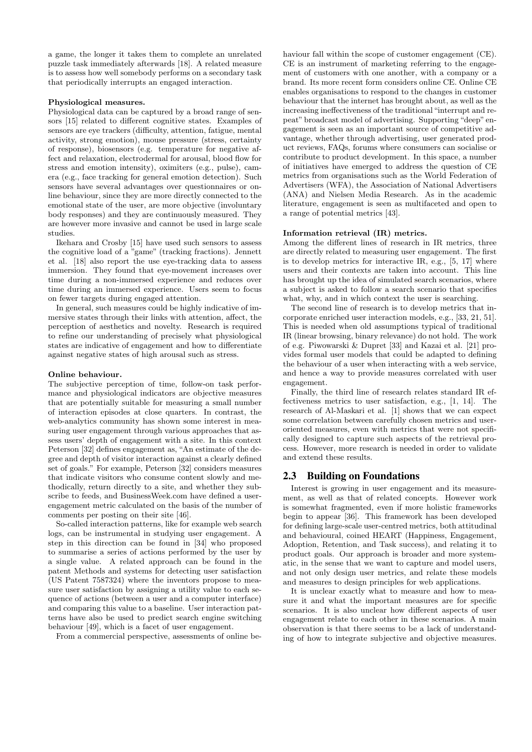a game, the longer it takes them to complete an unrelated puzzle task immediately afterwards [18]. A related measure is to assess how well somebody performs on a secondary task that periodically interrupts an engaged interaction.

#### Physiological measures.

Physiological data can be captured by a broad range of sensors [15] related to different cognitive states. Examples of sensors are eye trackers (difficulty, attention, fatigue, mental activity, strong emotion), mouse pressure (stress, certainty of response), biosensors (e.g. temperature for negative affect and relaxation, electrodermal for arousal, blood flow for stress and emotion intensity), oximiters (e.g., pulse), camera (e.g., face tracking for general emotion detection). Such sensors have several advantages over questionnaires or online behaviour, since they are more directly connected to the emotional state of the user, are more objective (involuntary body responses) and they are continuously measured. They are however more invasive and cannot be used in large scale studies.

Ikehara and Crosby [15] have used such sensors to assess the cognitive load of a "game" (tracking fractions). Jennett et al. [18] also report the use eye-tracking data to assess immersion. They found that eye-movement increases over time during a non-immersed experience and reduces over time during an immersed experience. Users seem to focus on fewer targets during engaged attention.

In general, such measures could be highly indicative of immersive states through their links with attention, affect, the perception of aesthetics and novelty. Research is required to refine our understanding of precisely what physiological states are indicative of engagement and how to differentiate against negative states of high arousal such as stress.

#### Online behaviour.

The subjective perception of time, follow-on task performance and physiological indicators are objective measures that are potentially suitable for measuring a small number of interaction episodes at close quarters. In contrast, the web-analytics community has shown some interest in measuring user engagement through various approaches that assess users' depth of engagement with a site. In this context Peterson [32] defines engagement as, "An estimate of the degree and depth of visitor interaction against a clearly defined set of goals." For example, Peterson [32] considers measures that indicate visitors who consume content slowly and methodically, return directly to a site, and whether they subscribe to feeds, and BusinessWeek.com have defined a userengagement metric calculated on the basis of the number of comments per posting on their site [46].

So-called interaction patterns, like for example web search logs, can be instrumental in studying user engagement. A step in this direction can be found in [34] who proposed to summarise a series of actions performed by the user by a single value. A related approach can be found in the patent Methods and systems for detecting user satisfaction (US Patent 7587324) where the inventors propose to measure user satisfaction by assigning a utility value to each sequence of actions (between a user and a computer interface) and comparing this value to a baseline. User interaction patterns have also be used to predict search engine switching behaviour [49], which is a facet of user engagement.

From a commercial perspective, assessments of online be-

haviour fall within the scope of customer engagement (CE). CE is an instrument of marketing referring to the engagement of customers with one another, with a company or a brand. Its more recent form considers online CE. Online CE enables organisations to respond to the changes in customer behaviour that the internet has brought about, as well as the increasing ineffectiveness of the traditional "interrupt and repeat" broadcast model of advertising. Supporting "deep" engagement is seen as an important source of competitive advantage, whether through advertising, user generated product reviews, FAQs, forums where consumers can socialise or contribute to product development. In this space, a number of initiatives have emerged to address the question of CE metrics from organisations such as the World Federation of Advertisers (WFA), the Association of National Advertisers (ANA) and Nielsen Media Research. As in the academic literature, engagement is seen as multifaceted and open to a range of potential metrics [43].

#### Information retrieval (IR) metrics.

Among the different lines of research in IR metrics, three are directly related to measuring user engagement. The first is to develop metrics for interactive IR, e.g., [5, 17] where users and their contexts are taken into account. This line has brought up the idea of simulated search scenarios, where a subject is asked to follow a search scenario that specifies what, why, and in which context the user is searching.

The second line of research is to develop metrics that incorporate enriched user interaction models, e.g., [33, 21, 51]. This is needed when old assumptions typical of traditional IR (linear browsing, binary relevance) do not hold. The work of e.g. Piwowarski & Dupret [33] and Kazai et al. [21] provides formal user models that could be adapted to defining the behaviour of a user when interacting with a web service, and hence a way to provide measures correlated with user engagement.

Finally, the third line of research relates standard IR effectiveness metrics to user satisfaction, e.g., [1, 14]. The research of Al-Maskari et al. [1] shows that we can expect some correlation between carefully chosen metrics and useroriented measures, even with metrics that were not specifically designed to capture such aspects of the retrieval process. However, more research is needed in order to validate and extend these results.

## 2.3 Building on Foundations

Interest is growing in user engagement and its measurement, as well as that of related concepts. However work is somewhat fragmented, even if more holistic frameworks begin to appear [36]. This framework has been developed for defining large-scale user-centred metrics, both attitudinal and behavioural, coined HEART (Happiness, Engagement, Adoption, Retention, and Task success), and relating it to product goals. Our approach is broader and more systematic, in the sense that we want to capture and model users, and not only design user metrics, and relate these models and measures to design principles for web applications.

It is unclear exactly what to measure and how to measure it and what the important measures are for specific scenarios. It is also unclear how different aspects of user engagement relate to each other in these scenarios. A main observation is that there seems to be a lack of understanding of how to integrate subjective and objective measures.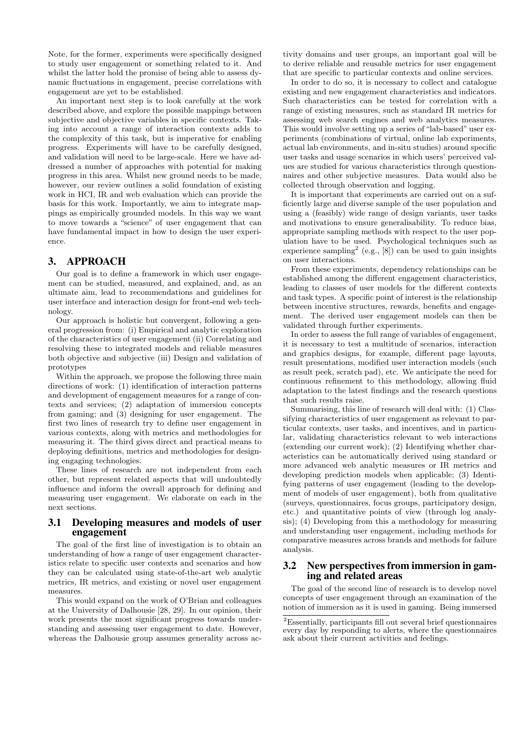Note, for the former, experiments were specifically designed to study user engagement or something related to it. And whilst the latter hold the promise of being able to assess dynamic fluctuations in engagement, precise correlations with engagement are yet to be established.

An important next step is to look carefully at the work described above, and explore the possible mappings between subjective and objective variables in specific contexts. Taking into account a range of interaction contexts adds to the complexity of this task, but is imperative for enabling progress. Experiments will have to be carefully designed, and validation will need to be large-scale. Here we have addressed a number of approaches with potential for making progress in this area. Whilst new ground needs to be made, however, our review outlines a solid foundation of existing work in HCI, IR and web evaluation which can provide the basis for this work. Importantly, we aim to integrate mappings as empirically grounded models. In this way we want to move towards a "science" of user engagement that can have fundamental impact in how to design the user experience.

## 3. APPROACH

Our goal is to define a framework in which user engagement can be studied, measured, and explained, and, as an ultimate aim, lead to recommendations and guidelines for user interface and interaction design for front-end web technology.

Our approach is holistic but convergent, following a general progression from: (i) Empirical and analytic exploration of the characteristics of user engagement (ii) Correlating and resolving these to integrated models and reliable measures both objective and subjective (iii) Design and validation of prototypes

Within the approach, we propose the following three main directions of work: (1) identification of interaction patterns and development of engagement measures for a range of contexts and services; (2) adaptation of immersion concepts from gaming; and (3) designing for user engagement. The first two lines of research try to define user engagement in various contexts, along with metrics and methodologies for measuring it. The third gives direct and practical means to deploying definitions, metrics and methodologies for designing engaging technologies.

These lines of research are not independent from each other, but represent related aspects that will undoubtedly influence and inform the overall approach for defining and measuring user engagement. We elaborate on each in the next sections.

## 3.1 Developing measures and models of user engagement

The goal of the first line of investigation is to obtain an understanding of how a range of user engagement characteristics relate to specific user contexts and scenarios and how they can be calculated using state-of-the-art web analytic metrics, IR metrics, and existing or novel user engagement measures.

This would expand on the work of O'Brian and colleagues at the University of Dalhousie [28, 29]. In our opinion, their work presents the most significant progress towards understanding and assessing user engagement to date. However, whereas the Dalhousie group assumes generality across ac-

tivity domains and user groups, an important goal will be to derive reliable and reusable metrics for user engagement that are specific to particular contexts and online services.

In order to do so, it is necessary to collect and catalogue existing and new engagement characteristics and indicators. Such characteristics can be tested for correlation with a range of existing measures, such as standard IR metrics for assessing web search engines and web analytics measures. This would involve setting up a series of "lab-based" user experiments (combinations of virtual, online lab experiments, actual lab environments, and in-situ studies) around specific user tasks and usage scenarios in which users' perceived values are studied for various characteristics through questionnaires and other subjective measures. Data would also be collected through observation and logging.

It is important that experiments are carried out on a sufficiently large and diverse sample of the user population and using a (feasibly) wide range of design variants, user tasks and motivations to ensure generalisability. To reduce bias, appropriate sampling methods with respect to the user population have to be used. Psychological techniques such as experience sampling<sup>2</sup> (e.g., [8]) can be used to gain insights on user interactions.

From these experiments, dependency relationships can be established among the different engagement characteristics, leading to classes of user models for the different contexts and task types. A specific point of interest is the relationship between incentive structures, rewards, benefits and engagement. The derived user engagement models can then be validated through further experiments.

In order to assess the full range of variables of engagement, it is necessary to test a multitude of scenarios, interaction and graphics designs, for example, different page layouts, result presentations, modified user interaction models (such as result peek, scratch pad), etc. We anticipate the need for continuous refinement to this methodology, allowing fluid adaptation to the latest findings and the research questions that such results raise.

Summarising, this line of research will deal with: (1) Classifying characteristics of user engagement as relevant to particular contexts, user tasks, and incentives, and in particular, validating characteristics relevant to web interactions (extending our current work); (2) Identifying whether characteristics can be automatically derived using standard or more advanced web analytic measures or IR metrics and developing prediction models when applicable; (3) Identifying patterns of user engagement (leading to the development of models of user engagement), both from qualitative (surveys, questionnaires, focus groups, participatory design, etc.) and quantitative points of view (through log analysis); (4) Developing from this a methodology for measuring and understanding user engagement, including methods for comparative measures across brands and methods for failure analysis.

## 3.2 New perspectives from immersion in gaming and related areas

The goal of the second line of research is to develop novel concepts of user engagement through an examination of the notion of immersion as it is used in gaming. Being immersed

<sup>2</sup>Essentially, participants fill out several brief questionnaires every day by responding to alerts, where the questionnaires ask about their current activities and feelings.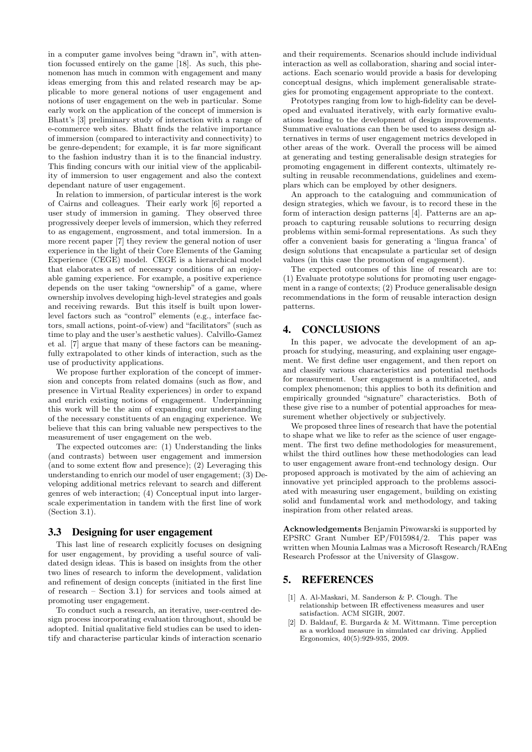in a computer game involves being "drawn in", with attention focussed entirely on the game [18]. As such, this phenomenon has much in common with engagement and many ideas emerging from this and related research may be applicable to more general notions of user engagement and notions of user engagement on the web in particular. Some early work on the application of the concept of immersion is Bhatt's [3] preliminary study of interaction with a range of e-commerce web sites. Bhatt finds the relative importance of immersion (compared to interactivity and connectivity) to be genre-dependent; for example, it is far more significant to the fashion industry than it is to the financial industry. This finding concurs with our initial view of the applicability of immersion to user engagement and also the context dependant nature of user engagement.

In relation to immersion, of particular interest is the work of Cairns and colleagues. Their early work [6] reported a user study of immersion in gaming. They observed three progressively deeper levels of immersion, which they referred to as engagement, engrossment, and total immersion. In a more recent paper [7] they review the general notion of user experience in the light of their Core Elements of the Gaming Experience (CEGE) model. CEGE is a hierarchical model that elaborates a set of necessary conditions of an enjoyable gaming experience. For example, a positive experience depends on the user taking "ownership" of a game, where ownership involves developing high-level strategies and goals and receiving rewards. But this itself is built upon lowerlevel factors such as "control" elements (e.g., interface factors, small actions, point-of-view) and "facilitators" (such as time to play and the user's aesthetic values). Calvillo-Gamez et al. [7] argue that many of these factors can be meaningfully extrapolated to other kinds of interaction, such as the use of productivity applications.

We propose further exploration of the concept of immersion and concepts from related domains (such as flow, and presence in Virtual Reality experiences) in order to expand and enrich existing notions of engagement. Underpinning this work will be the aim of expanding our understanding of the necessary constituents of an engaging experience. We believe that this can bring valuable new perspectives to the measurement of user engagement on the web.

The expected outcomes are: (1) Understanding the links (and contrasts) between user engagement and immersion (and to some extent flow and presence); (2) Leveraging this understanding to enrich our model of user engagement; (3) Developing additional metrics relevant to search and different genres of web interaction; (4) Conceptual input into largerscale experimentation in tandem with the first line of work (Section 3.1).

## 3.3 Designing for user engagement

This last line of research explicitly focuses on designing for user engagement, by providing a useful source of validated design ideas. This is based on insights from the other two lines of research to inform the development, validation and refinement of design concepts (initiated in the first line of research – Section 3.1) for services and tools aimed at promoting user engagement.

To conduct such a research, an iterative, user-centred design process incorporating evaluation throughout, should be adopted. Initial qualitative field studies can be used to identify and characterise particular kinds of interaction scenario

and their requirements. Scenarios should include individual interaction as well as collaboration, sharing and social interactions. Each scenario would provide a basis for developing conceptual designs, which implement generalisable strategies for promoting engagement appropriate to the context.

Prototypes ranging from low to high-fidelity can be developed and evaluated iteratively, with early formative evaluations leading to the development of design improvements. Summative evaluations can then be used to assess design alternatives in terms of user engagement metrics developed in other areas of the work. Overall the process will be aimed at generating and testing generalisable design strategies for promoting engagement in different contexts, ultimately resulting in reusable recommendations, guidelines and exemplars which can be employed by other designers.

An approach to the cataloguing and communication of design strategies, which we favour, is to record these in the form of interaction design patterns [4]. Patterns are an approach to capturing reusable solutions to recurring design problems within semi-formal representations. As such they offer a convenient basis for generating a 'lingua franca' of design solutions that encapsulate a particular set of design values (in this case the promotion of engagement).

The expected outcomes of this line of research are to: (1) Evaluate prototype solutions for promoting user engagement in a range of contexts; (2) Produce generalisable design recommendations in the form of reusable interaction design patterns.

# 4. CONCLUSIONS

In this paper, we advocate the development of an approach for studying, measuring, and explaining user engagement. We first define user engagement, and then report on and classify various characteristics and potential methods for measurement. User engagement is a multifaceted, and complex phenomenon; this applies to both its definition and empirically grounded "signature" characteristics. Both of these give rise to a number of potential approaches for measurement whether objectively or subjectively.

We proposed three lines of research that have the potential to shape what we like to refer as the science of user engagement. The first two define methodologies for measurement, whilst the third outlines how these methodologies can lead to user engagement aware front-end technology design. Our proposed approach is motivated by the aim of achieving an innovative yet principled approach to the problems associated with measuring user engagement, building on existing solid and fundamental work and methodology, and taking inspiration from other related areas.

Acknowledgements Benjamin Piwowarski is supported by EPSRC Grant Number EP/F015984/2. This paper was written when Mounia Lalmas was a Microsoft Research/RAEng Research Professor at the University of Glasgow.

# 5. REFERENCES

- [1] A. Al-Maskari, M. Sanderson & P. Clough. The relationship between IR effectiveness measures and user satisfaction. ACM SIGIR, 2007.
- [2] D. Baldauf, E. Burgarda & M. Wittmann. Time perception as a workload measure in simulated car driving. Applied Ergonomics, 40(5):929-935, 2009.